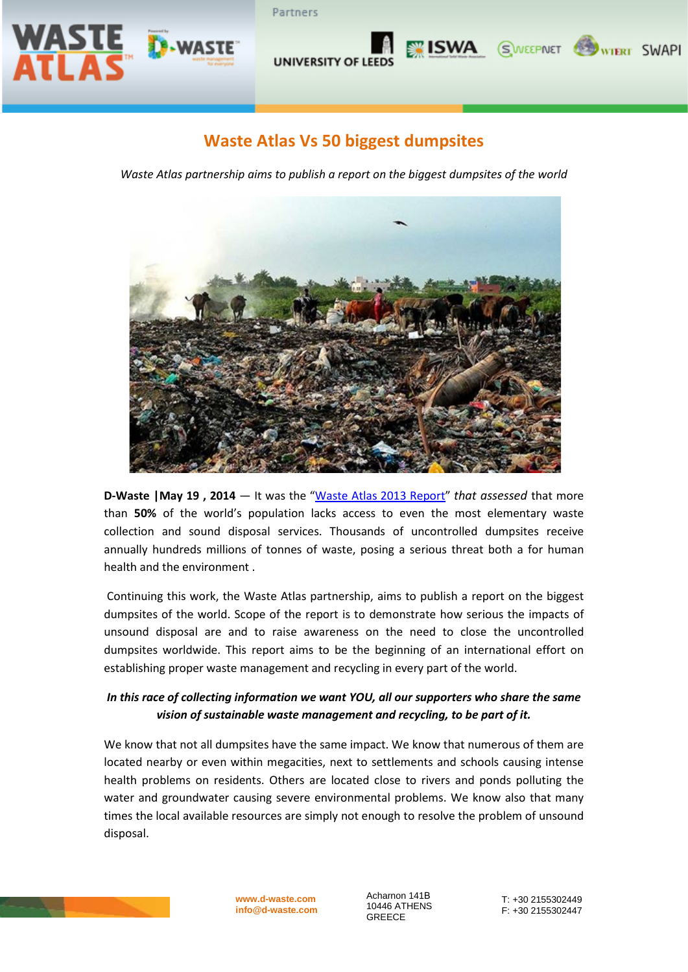

# **Waste Atlas Vs 50 biggest dumpsites**

**UNIVERSITY OF LEED** 

Partners

*Waste Atlas partnership aims to publish a report on the biggest dumpsites of the world*



**D-Waste |May 19 , 2014** — It was the ["Waste Atlas 2013 Report"](http://d-waste.com/d-waste-news/item/190-waste-atlas-2013-report-is-now-available.html) *that assessed* that more than **50%** of the world's population lacks access to even the most elementary waste collection and sound disposal services. Thousands of uncontrolled dumpsites receive annually hundreds millions of tonnes of waste, posing a serious threat both a for human health and the environment .

Continuing this work, the Waste Atlas partnership, aims to publish a report on the biggest dumpsites of the world. Scope of the report is to demonstrate how serious the impacts of unsound disposal are and to raise awareness on the need to close the uncontrolled dumpsites worldwide. This report aims to be the beginning of an international effort on establishing proper waste management and recycling in every part of the world.

### *In this race of collecting information we want YOU, all our supporters who share the same vision of sustainable waste management and recycling, to be part of it.*

We know that not all dumpsites have the same impact. We know that numerous of them are located nearby or even within megacities, next to settlements and schools causing intense health problems on residents. Others are located close to rivers and ponds polluting the water and groundwater causing severe environmental problems. We know also that many times the local available resources are simply not enough to resolve the problem of unsound disposal.



**[www.d-waste.com](http://www.d-waste.com/) info@d-waste.com** Acharnon 141Β 10446 ATHENS GREECE

T: +30 2155302449 F: +30 2155302447

**ISWA** SWEEPNET WIERT SWAPI